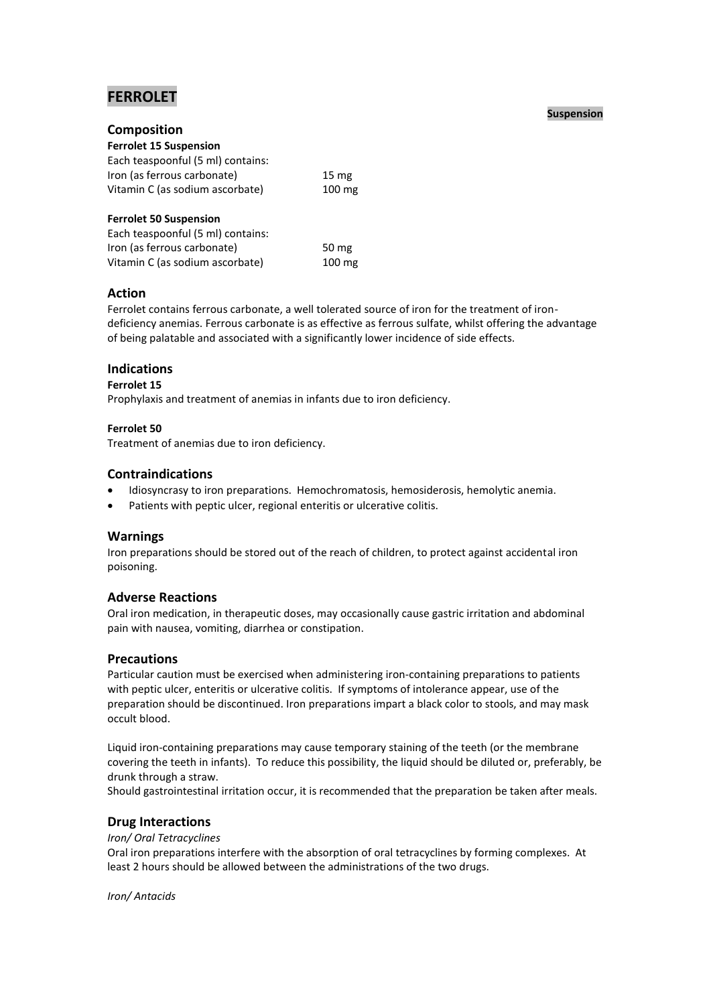# **FERROLET**

# **Composition**

| <b>Ferrolet 15 Suspension</b>     |                  |
|-----------------------------------|------------------|
| Each teaspoonful (5 ml) contains: |                  |
| Iron (as ferrous carbonate)       | 15 <sub>mg</sub> |
| Vitamin C (as sodium ascorbate)   | 100 mg           |
| <b>Ferrolet 50 Suspension</b>     |                  |
| Each teaspoonful (5 ml) contains: |                  |

Iron (as ferrous carbonate) 50 mg Vitamin C (as sodium ascorbate) 100 mg

# **Action**

Ferrolet contains ferrous carbonate, a well tolerated source of iron for the treatment of irondeficiency anemias. Ferrous carbonate is as effective as ferrous sulfate, whilst offering the advantage of being palatable and associated with a significantly lower incidence of side effects.

# **Indications**

## **Ferrolet 15**

Prophylaxis and treatment of anemias in infants due to iron deficiency.

## **Ferrolet 50**

Treatment of anemias due to iron deficiency.

# **Contraindications**

- Idiosyncrasy to iron preparations. Hemochromatosis, hemosiderosis, hemolytic anemia.
- Patients with peptic ulcer, regional enteritis or ulcerative colitis.

# **Warnings**

Iron preparations should be stored out of the reach of children, to protect against accidental iron poisoning.

# **Adverse Reactions**

Oral iron medication, in therapeutic doses, may occasionally cause gastric irritation and abdominal pain with nausea, vomiting, diarrhea or constipation.

# **Precautions**

Particular caution must be exercised when administering iron-containing preparations to patients with peptic ulcer, enteritis or ulcerative colitis. If symptoms of intolerance appear, use of the preparation should be discontinued. Iron preparations impart a black color to stools, and may mask occult blood.

Liquid iron-containing preparations may cause temporary staining of the teeth (or the membrane covering the teeth in infants). To reduce this possibility, the liquid should be diluted or, preferably, be drunk through a straw.

Should gastrointestinal irritation occur, it is recommended that the preparation be taken after meals.

# **Drug Interactions**

### *Iron/ Oral Tetracyclines*

Oral iron preparations interfere with the absorption of oral tetracyclines by forming complexes. At least 2 hours should be allowed between the administrations of the two drugs.

*Iron/ Antacids*

## **Suspension**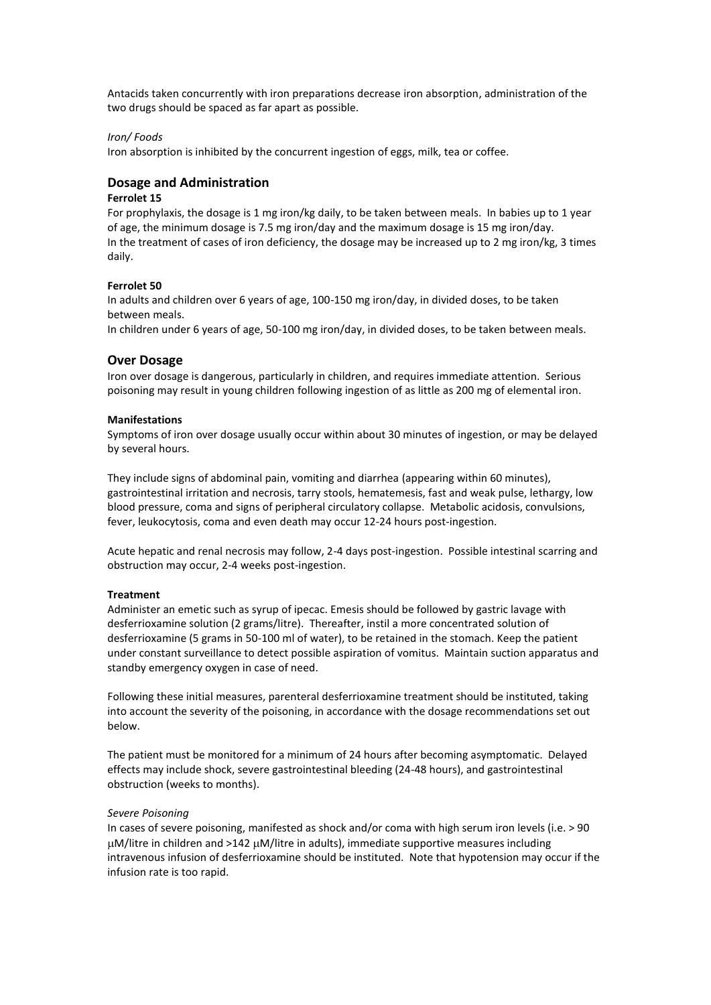Antacids taken concurrently with iron preparations decrease iron absorption, administration of the two drugs should be spaced as far apart as possible.

#### *Iron/ Foods*

Iron absorption is inhibited by the concurrent ingestion of eggs, milk, tea or coffee.

## **Dosage and Administration**

#### **Ferrolet 15**

For prophylaxis, the dosage is 1 mg iron/kg daily, to be taken between meals. In babies up to 1 year of age, the minimum dosage is 7.5 mg iron/day and the maximum dosage is 15 mg iron/day. In the treatment of cases of iron deficiency, the dosage may be increased up to 2 mg iron/kg, 3 times daily.

### **Ferrolet 50**

In adults and children over 6 years of age, 100-150 mg iron/day, in divided doses, to be taken between meals.

In children under 6 years of age, 50-100 mg iron/day, in divided doses, to be taken between meals.

#### **Over Dosage**

Iron over dosage is dangerous, particularly in children, and requires immediate attention. Serious poisoning may result in young children following ingestion of as little as 200 mg of elemental iron.

#### **Manifestations**

Symptoms of iron over dosage usually occur within about 30 minutes of ingestion, or may be delayed by several hours.

They include signs of abdominal pain, vomiting and diarrhea (appearing within 60 minutes), gastrointestinal irritation and necrosis, tarry stools, hematemesis, fast and weak pulse, lethargy, low blood pressure, coma and signs of peripheral circulatory collapse. Metabolic acidosis, convulsions, fever, leukocytosis, coma and even death may occur 12-24 hours post-ingestion.

Acute hepatic and renal necrosis may follow, 2-4 days post-ingestion. Possible intestinal scarring and obstruction may occur, 2-4 weeks post-ingestion.

#### **Treatment**

Administer an emetic such as syrup of ipecac. Emesis should be followed by gastric lavage with desferrioxamine solution (2 grams/litre). Thereafter, instil a more concentrated solution of desferrioxamine (5 grams in 50-100 ml of water), to be retained in the stomach. Keep the patient under constant surveillance to detect possible aspiration of vomitus. Maintain suction apparatus and standby emergency oxygen in case of need.

Following these initial measures, parenteral desferrioxamine treatment should be instituted, taking into account the severity of the poisoning, in accordance with the dosage recommendations set out below.

The patient must be monitored for a minimum of 24 hours after becoming asymptomatic. Delayed effects may include shock, severe gastrointestinal bleeding (24-48 hours), and gastrointestinal obstruction (weeks to months).

#### *Severe Poisoning*

In cases of severe poisoning, manifested as shock and/or coma with high serum iron levels (i.e. > 90  $\mu$ M/litre in children and >142  $\mu$ M/litre in adults), immediate supportive measures including intravenous infusion of desferrioxamine should be instituted. Note that hypotension may occur if the infusion rate is too rapid.